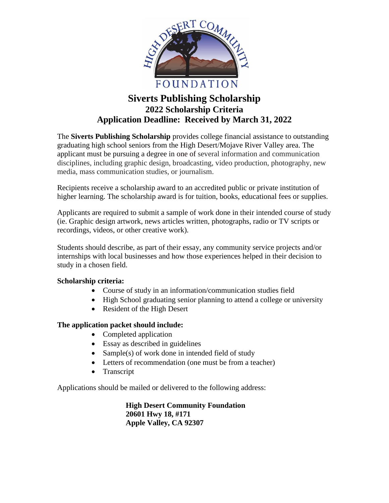

# **Siverts Publishing Scholarship 2022 Scholarship Criteria Application Deadline: Received by March 31, 2022**

The **Siverts Publishing Scholarship** provides college financial assistance to outstanding graduating high school seniors from the High Desert/Mojave River Valley area. The applicant must be pursuing a degree in one of several information and communication disciplines, including graphic design, broadcasting, video production, photography, new media, mass communication studies, or journalism.

Recipients receive a scholarship award to an accredited public or private institution of higher learning. The scholarship award is for tuition, books, educational fees or supplies.

Applicants are required to submit a sample of work done in their intended course of study (ie. Graphic design artwork, news articles written, photographs, radio or TV scripts or recordings, videos, or other creative work).

Students should describe, as part of their essay, any community service projects and/or internships with local businesses and how those experiences helped in their decision to study in a chosen field.

## **Scholarship criteria:**

- Course of study in an information/communication studies field
- High School graduating senior planning to attend a college or university
- Resident of the High Desert

## **The application packet should include:**

- Completed application
- Essay as described in guidelines
- Sample(s) of work done in intended field of study
- Letters of recommendation (one must be from a teacher)
- Transcript

Applications should be mailed or delivered to the following address:

**High Desert Community Foundation 20601 Hwy 18, #171 Apple Valley, CA 92307**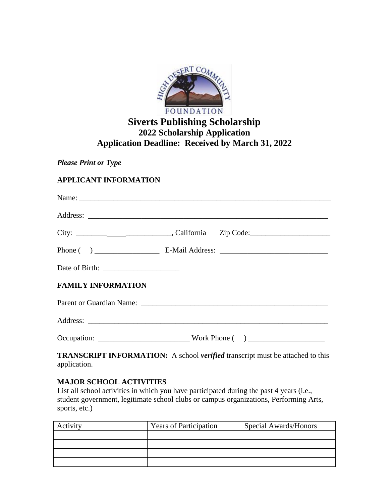

## **Siverts Publishing Scholarship 2022 Scholarship Application Application Deadline: Received by March 31, 2022**

*Please Print or Type*

## **APPLICANT INFORMATION**

| <b>FAMILY INFORMATION</b> |                                                                                     |
|---------------------------|-------------------------------------------------------------------------------------|
|                           |                                                                                     |
|                           |                                                                                     |
|                           |                                                                                     |
|                           | <b>TDANSCRIPT INFORMATION</b> A school varified transcript must be attached to this |

**TRANSCRIPT INFORMATION:** A school *verified* transcript must be attached to this application.

## **MAJOR SCHOOL ACTIVITIES**

List all school activities in which you have participated during the past 4 years (i.e., student government, legitimate school clubs or campus organizations, Performing Arts, sports, etc.)

| Activity | <b>Years of Participation</b> | Special Awards/Honors |  |
|----------|-------------------------------|-----------------------|--|
|          |                               |                       |  |
|          |                               |                       |  |
|          |                               |                       |  |
|          |                               |                       |  |